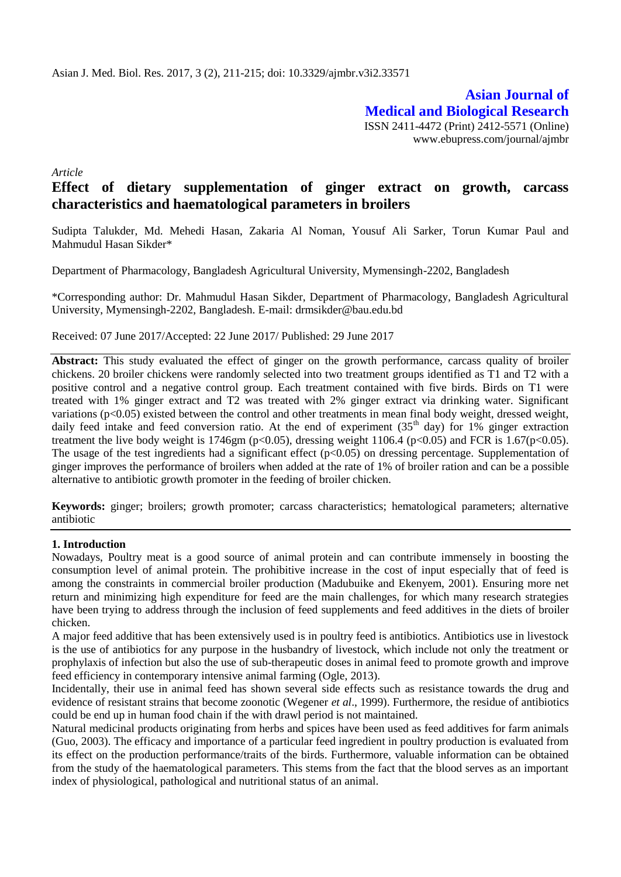**Asian Journal of Medical and Biological Research** ISSN 2411-4472 (Print) 2412-5571 (Online) www.ebupress.com/journal/ajmbr

*Article*

# **Effect of dietary supplementation of ginger extract on growth, carcass characteristics and haematological parameters in broilers**

Sudipta Talukder, Md. Mehedi Hasan, Zakaria Al Noman, Yousuf Ali Sarker, Torun Kumar Paul and Mahmudul Hasan Sikder\*

Department of Pharmacology, Bangladesh Agricultural University, Mymensingh-2202, Bangladesh

\*Corresponding author: Dr. Mahmudul Hasan Sikder, Department of Pharmacology, Bangladesh Agricultural University, Mymensingh-2202, Bangladesh. E-mail: drmsikder@bau.edu.bd

Received: 07 June 2017/Accepted: 22 June 2017/ Published: 29 June 2017

**Abstract:** This study evaluated the effect of ginger on the growth performance, carcass quality of broiler chickens. 20 broiler chickens were randomly selected into two treatment groups identified as T1 and T2 with a positive control and a negative control group. Each treatment contained with five birds. Birds on T1 were treated with 1% ginger extract and T2 was treated with 2% ginger extract via drinking water. Significant variations (p<0.05) existed between the control and other treatments in mean final body weight, dressed weight, daily feed intake and feed conversion ratio. At the end of experiment  $(35<sup>th</sup>$  day) for 1% ginger extraction treatment the live body weight is 1746gm (p<0.05), dressing weight 1106.4 (p<0.05) and FCR is 1.67(p<0.05). The usage of the test ingredients had a significant effect  $(p<0.05)$  on dressing percentage. Supplementation of ginger improves the performance of broilers when added at the rate of 1% of broiler ration and can be a possible alternative to antibiotic growth promoter in the feeding of broiler chicken.

**Keywords:** ginger; broilers; growth promoter; carcass characteristics; hematological parameters; alternative antibiotic

#### **1. Introduction**

Nowadays, Poultry meat is a good source of animal protein and can contribute immensely in boosting the consumption level of animal protein. The prohibitive increase in the cost of input especially that of feed is among the constraints in commercial broiler production (Madubuike and Ekenyem, 2001). Ensuring more net return and minimizing high expenditure for feed are the main challenges, for which many research strategies have been trying to address through the inclusion of feed supplements and feed additives in the diets of broiler chicken.

A major feed additive that has been extensively used is in poultry feed is antibiotics. Antibiotics use in livestock is the use of antibiotics for any purpose in the husbandry of livestock, which include not only the treatment or prophylaxis of infection but also the use of sub-therapeutic doses in animal feed to promote growth and improve feed efficiency in contemporary intensive animal farming (Ogle, 2013).

Incidentally, their use in animal feed has shown several side effects such as resistance towards the drug and evidence of resistant strains that become zoonotic (Wegener *et al*., 1999). Furthermore, the residue of antibiotics could be end up in human food chain if the with drawl period is not maintained.

Natural medicinal products originating from herbs and spices have been used as feed additives for farm animals (Guo, 2003). The efficacy and importance of a particular feed ingredient in poultry production is evaluated from its effect on the production performance/traits of the birds. Furthermore, valuable information can be obtained from the study of the haematological parameters. This stems from the fact that the blood serves as an important index of physiological, pathological and nutritional status of an animal.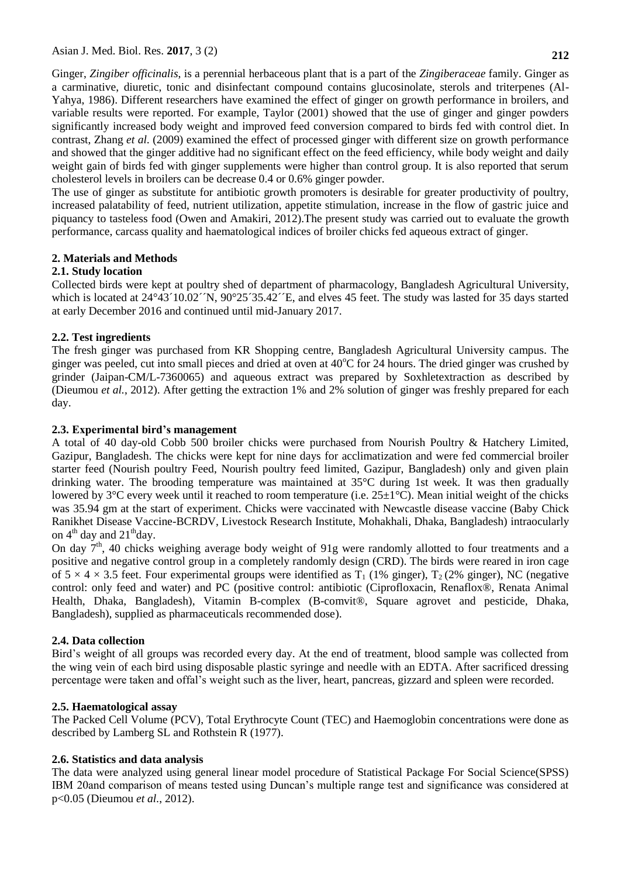Ginger, *Zingiber officinalis*, is a perennial herbaceous plant that is a part of the *Zingiberaceae* family. Ginger as a carminative, diuretic, tonic and disinfectant compound contains glucosinolate, sterols and triterpenes (Al-Yahya, 1986). Different researchers have examined the effect of ginger on growth performance in broilers, and variable results were reported. For example, Taylor (2001) showed that the use of ginger and ginger powders significantly increased body weight and improved feed conversion compared to birds fed with control diet. In contrast, Zhang *et al.* (2009) examined the effect of processed ginger with different size on growth performance and showed that the ginger additive had no significant effect on the feed efficiency, while body weight and daily weight gain of birds fed with ginger supplements were higher than control group. It is also reported that serum cholesterol levels in broilers can be decrease 0.4 or 0.6% ginger powder.

The use of ginger as substitute for antibiotic growth promoters is desirable for greater productivity of poultry, increased palatability of feed, nutrient utilization, appetite stimulation, increase in the flow of gastric juice and piquancy to tasteless food (Owen and Amakiri, 2012).The present study was carried out to evaluate the growth performance, carcass quality and haematological indices of broiler chicks fed aqueous extract of ginger.

## **2. Materials and Methods**

## **2.1. Study location**

Collected birds were kept at poultry shed of department of pharmacology, Bangladesh Agricultural University, which is located at  $24^{\circ}43'10.02''N$ ,  $90^{\circ}25'35.42''E$ , and elves 45 feet. The study was lasted for 35 days started at early December 2016 and continued until mid-January 2017.

## **2.2. Test ingredients**

The fresh ginger was purchased from KR Shopping centre, Bangladesh Agricultural University campus. The ginger was peeled, cut into small pieces and dried at oven at  $40^{\circ}$ C for 24 hours. The dried ginger was crushed by grinder (Jaipan-CM/L-7360065) and aqueous extract was prepared by Soxhletextraction as described by (Dieumou *et al.*, 2012). After getting the extraction 1% and 2% solution of ginger was freshly prepared for each day.

## **2.3. Experimental bird's management**

A total of 40 day-old Cobb 500 broiler chicks were purchased from Nourish Poultry & Hatchery Limited, Gazipur, Bangladesh. The chicks were kept for nine days for acclimatization and were fed commercial broiler starter feed (Nourish poultry Feed, Nourish poultry feed limited, Gazipur, Bangladesh) only and given plain drinking water. The brooding temperature was maintained at 35°C during 1st week. It was then gradually lowered by 3°C every week until it reached to room temperature (i.e. 25±1°C). Mean initial weight of the chicks was 35.94 gm at the start of experiment. Chicks were vaccinated with Newcastle disease vaccine (Baby Chick Ranikhet Disease Vaccine-BCRDV, Livestock Research Institute, Mohakhali, Dhaka, Bangladesh) intraocularly on  $4<sup>th</sup>$  day and  $21<sup>th</sup>$ day.

On day  $7<sup>th</sup>$ , 40 chicks weighing average body weight of 91g were randomly allotted to four treatments and a positive and negative control group in a completely randomly design (CRD). The birds were reared in iron cage of  $5 \times 4 \times 3.5$  feet. Four experimental groups were identified as  $T_1$  (1% ginger),  $T_2$  (2% ginger), NC (negative control: only feed and water) and PC (positive control: antibiotic (Ciprofloxacin, Renaflox®, Renata Animal Health, Dhaka, Bangladesh), Vitamin B-complex (B-comvit®, Square agrovet and pesticide, Dhaka, Bangladesh), supplied as pharmaceuticals recommended dose).

## **2.4. Data collection**

Bird's weight of all groups was recorded every day. At the end of treatment, blood sample was collected from the wing vein of each bird using disposable plastic syringe and needle with an EDTA. After sacrificed dressing percentage were taken and offal's weight such as the liver, heart, pancreas, gizzard and spleen were recorded.

### **2.5. Haematological assay**

The Packed Cell Volume (PCV), Total Erythrocyte Count (TEC) and Haemoglobin concentrations were done as described by Lamberg SL and Rothstein R (1977).

## **2.6. Statistics and data analysis**

The data were analyzed using general linear model procedure of Statistical Package For Social Science(SPSS) IBM 20and comparison of means tested using Duncan's multiple range test and significance was considered at p<0.05 (Dieumou *et al.*, 2012).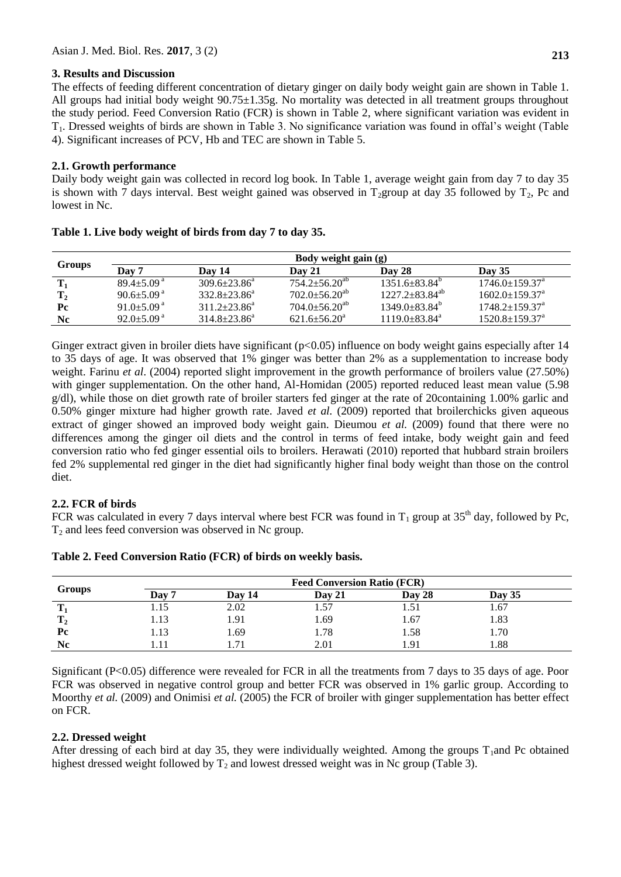### **3. Results and Discussion**

The effects of feeding different concentration of dietary ginger on daily body weight gain are shown in Table 1. All groups had initial body weight 90.75±1.35g. No mortality was detected in all treatment groups throughout the study period. Feed Conversion Ratio (FCR) is shown in Table 2, where significant variation was evident in T1. Dressed weights of birds are shown in Table 3. No significance variation was found in offal's weight (Table 4). Significant increases of PCV, Hb and TEC are shown in Table 5.

### **2.1. Growth performance**

Daily body weight gain was collected in record log book. In Table 1, average weight gain from day 7 to day 35 is shown with 7 days interval. Best weight gained was observed in  $T_2$ group at day 35 followed by  $T_2$ . Pc and lowest in Nc.

| Groups         | Body weight gain (g)         |                     |                                 |                            |                                  |  |  |
|----------------|------------------------------|---------------------|---------------------------------|----------------------------|----------------------------------|--|--|
|                | Day 7                        | Dav 14              | Day 21                          | Day 28                     | <b>Day 35</b>                    |  |  |
| $\mathbf{T}_1$ | $89.4+5.09a$                 | $309.6 \pm 23.86^a$ | $754.2 + 56.20^{ab}$            | $1351.6+83.84^{\circ}$     | $1746.0 \pm 159.37$ <sup>a</sup> |  |  |
| $\mathbf{T}_2$ | $90.6 \pm 5.09$ <sup>a</sup> | $332.8 + 23.86^a$   | $702.0 \pm 56.20^{ab}$          | $1227.2 \pm 83.84^{ab}$    | $1602.0 \pm 159.37$ <sup>a</sup> |  |  |
| Pc             | 91.0 $\pm$ 5.09 <sup>a</sup> | $311.2 + 23.86^a$   | $704.0 \pm 56.20$ <sup>ab</sup> | $1349.0 \pm 83.84^{\circ}$ | $1748.2 \pm 159.37^{\text{a}}$   |  |  |
| Nc.            | $92.0 \pm 5.09$ <sup>a</sup> | $314.8 \pm 23.86^a$ | $621.6 \pm 56.20^a$             | $1119.0 + 83.84^a$         | $1520.8 \pm 159.37^{\text{a}}$   |  |  |

| Table 1. Live body weight of birds from day 7 to day 35. |  |  |  |  |
|----------------------------------------------------------|--|--|--|--|
|                                                          |  |  |  |  |

Ginger extract given in broiler diets have significant (p<0.05) influence on body weight gains especially after 14 to 35 days of age. It was observed that 1% ginger was better than 2% as a supplementation to increase body weight. Farinu *et al.* (2004) reported slight improvement in the growth performance of broilers value (27.50%) with ginger supplementation. On the other hand, Al-Homidan (2005) reported reduced least mean value (5.98 g/dl), while those on diet growth rate of broiler starters fed ginger at the rate of 20containing 1.00% garlic and 0.50% ginger mixture had higher growth rate. Javed *et al.* (2009) reported that broilerchicks given aqueous extract of ginger showed an improved body weight gain. Dieumou *et al.* (2009) found that there were no differences among the ginger oil diets and the control in terms of feed intake, body weight gain and feed conversion ratio who fed ginger essential oils to broilers. Herawati (2010) reported that hubbard strain broilers fed 2% supplemental red ginger in the diet had significantly higher final body weight than those on the control diet.

### **2.2. FCR of birds**

FCR was calculated in every 7 days interval where best FCR was found in  $T_1$  group at 35<sup>th</sup> day, followed by Pc,  $T_2$  and lees feed conversion was observed in Nc group.

|                    | <b>Feed Conversion Ratio (FCR)</b> |        |        |        |          |  |  |
|--------------------|------------------------------------|--------|--------|--------|----------|--|--|
| <b>Groups</b>      | Day 7                              | Day 14 | Day 21 | Day 28 | Day $35$ |  |  |
| m                  | .15                                | 2.02   |        | . 51   | 1.67     |  |  |
| $\mathbf{m}$<br>12 | 1.13                               | 1.91   | 1.69   | 1.67   | 1.83     |  |  |
| Pc                 | 1.13                               | 1.69   | 1.78   | 1.58   | 1.70     |  |  |
| Nc                 |                                    | 1.71   | 2.01   | .91    | 1.88     |  |  |

**Table 2. Feed Conversion Ratio (FCR) of birds on weekly basis.**

Significant (P<0.05) difference were revealed for FCR in all the treatments from 7 days to 35 days of age. Poor FCR was observed in negative control group and better FCR was observed in 1% garlic group. According to Moorthy *et al.* (2009) and Onimisi *et al.* (2005) the FCR of broiler with ginger supplementation has better effect on FCR.

### **2.2. Dressed weight**

After dressing of each bird at day 35, they were individually weighted. Among the groups  $T_1$  and Pc obtained highest dressed weight followed by  $T_2$  and lowest dressed weight was in Nc group (Table 3).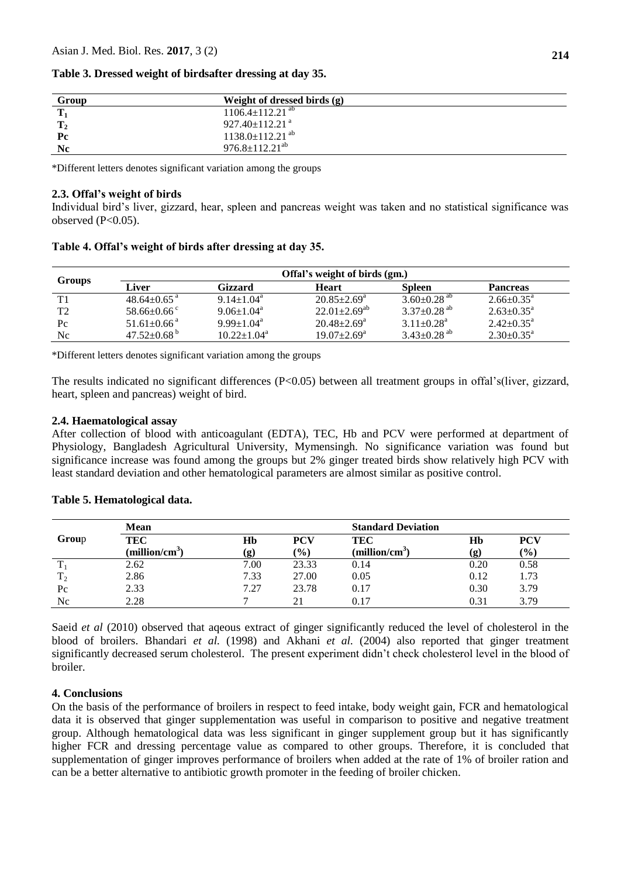| Group          | Weight of dressed birds (g)       |
|----------------|-----------------------------------|
| $\mathbf{T}_1$ | $1106.4 \pm 112.21$ <sup>ab</sup> |
| $\mathbf{T}_2$ | $927.40 \pm 112.21$ <sup>a</sup>  |
| $P_{c}$        | $1138.0 \pm 112.21$ <sup>ab</sup> |
| Nc             | $976.8 \pm 112.21^{ab}$           |

#### **Table 3. Dressed weight of birdsafter dressing at day 35.**

\*Different letters denotes significant variation among the groups

#### **2.3. Offal's weight of birds**

Individual bird's liver, gizzard, hear, spleen and pancreas weight was taken and no statistical significance was observed  $(P<0.05)$ .

| Groups         | Offal's weight of birds (gm.) |                              |                          |                               |                            |  |  |  |
|----------------|-------------------------------|------------------------------|--------------------------|-------------------------------|----------------------------|--|--|--|
|                | Liver                         | Gizzard                      | <b>Heart</b>             | <b>Spleen</b>                 | <b>Pancreas</b>            |  |  |  |
| T1             | $48.64 \pm 0.65$ <sup>a</sup> | $9.14 + 1.04^a$              | $20.85 \pm 2.69^{\circ}$ | $3.60 \pm 0.28$ <sup>ab</sup> | $2.66 \pm 0.35^{\circ}$    |  |  |  |
| T <sub>2</sub> | $58.66 \pm 0.66$ °            | $9.06 \pm 1.04$ <sup>a</sup> | $22.01 \pm 2.69^{ab}$    | $3.37 \pm 0.28$ <sup>ab</sup> | $2.63 \pm 0.35^{\circ}$    |  |  |  |
| $P_{\rm C}$    | $51.61 \pm 0.66$ <sup>a</sup> | $9.99 \pm 1.04^{\text{a}}$   | $20.48 \pm 2.69^{\circ}$ | $3.11 + 0.28$ <sup>a</sup>    | $2.42 + 0.35^a$            |  |  |  |
| Nc.            | $47.52 \pm 0.68^{\mathrm{b}}$ | $10.22 + 1.04^a$             | $19.07 \pm 2.69^{\circ}$ | $3.43 \pm 0.28$ <sup>ab</sup> | $2.30 \pm 0.35^{\text{a}}$ |  |  |  |

#### **Table 4. Offal's weight of birds after dressing at day 35.**

\*Different letters denotes significant variation among the groups

The results indicated no significant differences (P<0.05) between all treatment groups in offal's(liver, gizzard, heart, spleen and pancreas) weight of bird.

### **2.4. Haematological assay**

After collection of blood with anticoagulant (EDTA), TEC, Hb and PCV were performed at department of Physiology, Bangladesh Agricultural University, Mymensingh. No significance variation was found but significance increase was found among the groups but 2% ginger treated birds show relatively high PCV with least standard deviation and other hematological parameters are almost similar as positive control.

|                   | <b>Mean</b>                |      |                  | <b>Standard Deviation</b>  |      |               |
|-------------------|----------------------------|------|------------------|----------------------------|------|---------------|
| Group             | TEC                        | Hb   | <b>PCV</b>       | TEC                        | Hb   | PCV           |
|                   | (million/cm <sup>3</sup> ) | (g)  | $\mathcal{O}(6)$ | (million/cm <sup>3</sup> ) | (g)  | $\frac{9}{6}$ |
|                   | 2.62                       | 7.00 | 23.33            | 0.14                       | 0.20 | 0.58          |
| m<br>$\mathbf{1}$ | 2.86                       | 7.33 | 27.00            | 0.05                       | 0.12 | 1.73          |
| Pc                | 2.33                       | 7.27 | 23.78            | 0.17                       | 0.30 | 3.79          |
| Nc                | 2.28                       |      |                  | 0.17                       | 0.31 | 3.79          |

### **Table 5. Hematological data.**

Saeid *et al* (2010) observed that aqeous extract of ginger significantly reduced the level of cholesterol in the blood of broilers. Bhandari *et al.* (1998) and Akhani *et al.* (2004) also reported that ginger treatment significantly decreased serum cholesterol. The present experiment didn't check cholesterol level in the blood of broiler.

### **4. Conclusions**

On the basis of the performance of broilers in respect to feed intake, body weight gain, FCR and hematological data it is observed that ginger supplementation was useful in comparison to positive and negative treatment group. Although hematological data was less significant in ginger supplement group but it has significantly higher FCR and dressing percentage value as compared to other groups. Therefore, it is concluded that supplementation of ginger improves performance of broilers when added at the rate of 1% of broiler ration and can be a better alternative to antibiotic growth promoter in the feeding of broiler chicken.